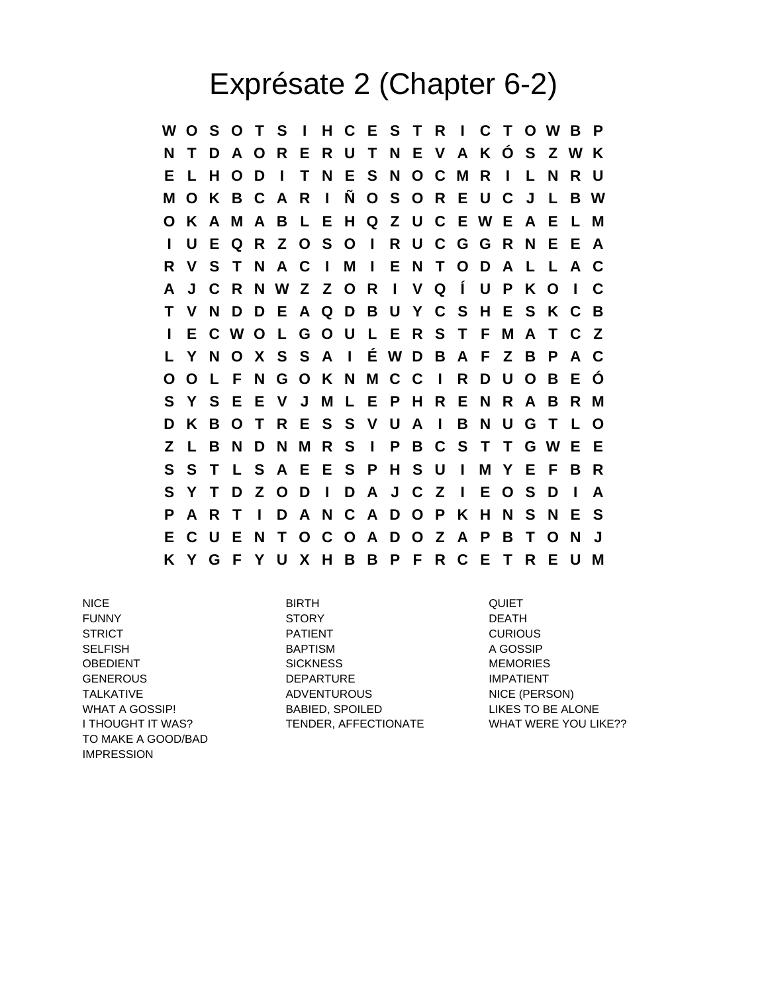## Exprésate 2 (Chapter 6-2)

**W O S O T S I H C E S T R I C T O W B P N T D A O R E R U T N E V A K Ó S Z W K E L H O D I T N E S N O C M R I L N R U M O K B C A R I Ñ O S O R E U C J L B W O K A M A B L E H Q Z U C E W E A E L M I U E Q R Z O S O I R U C G G R N E E A R V S T N A C I M I E N T O D A L L A C A J C R N W Z Z O R I V Q Í U P K O I C T V N D D E A Q D B U Y C S H E S K C B I E C W O L G O U L E R S T F M A T C Z L Y N O X S S A I É W D B A F Z B P A C O O L F N G O K N M C C I R D U O B E Ó S Y S E E V J M L E P H R E N R A B R M D K B O T R E S S V U A I B N U G T L O Z L B N D N M R S I P B C S T T G W E E S S T L S A E E S P H S U I M Y E F B R S Y T D Z O D I D A J C Z I E O S D I A P A R T I D A N C A D O P K H N S N E S E C U E N T O C O A D O Z A P B T O N J K Y G F Y U X H B B P F R C E T R E U M**

NICE BIRTH QUIET TO MAKE A GOOD/BAD IMPRESSION

FUNNY STORY DEATH STRICT **EXAMPLE PATIENT** PATIENT **CURIOUS** SELFISH BAPTISM BAPTISM A GOSSIP OBEDIENT SICKNESS MEMORIES GENEROUS DEPARTURE IMPATIENT TALKATIVE ADVENTUROUS NICE (PERSON) WHAT A GOSSIP! BABIED, SPOILED BARE ALONE I THOUGHT IT WAS? TENDER, AFFECTIONATE WHAT WERE YOU LIKE??